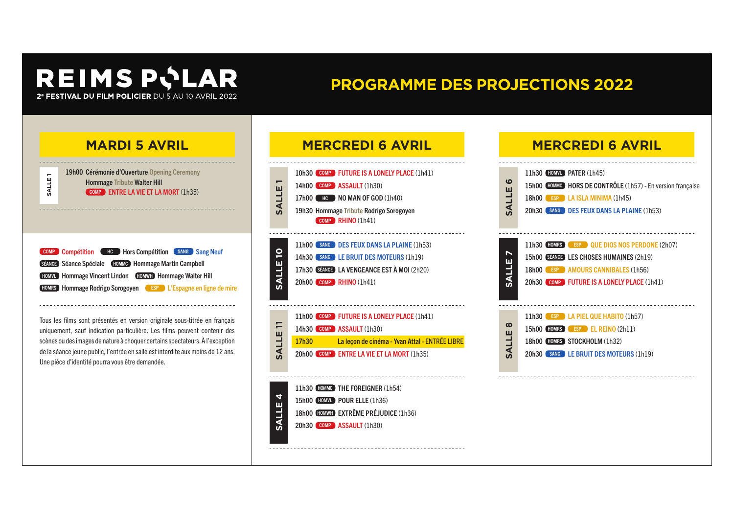# **PROGRAMME DES PROJECTIONS 2022**







Tous les films sont présentés en version originale sous-titrée en français uniquement, sauf indication particulière. Les films peuvent contenir des scènes ou des images de nature à choquer certains spectateurs. À l'exception de la séance jeune public, l'entrée en salle est interdite aux moins de 12 ans. Une pièce d'identité pourra vous être demandée.



18h00 HOMWH EXTRÊME PRÉJUDICE (1h36)

20h30 COMP ASSAULT (1h30)

#### **MERCREDI 6 AVRIL**

| ဖ<br>ш<br>SALL         | 11h30 HOMML PATER (1h45)<br>15h00 HOMMC HORS DE CONTRÔLE (1h57) - En version française<br>18h00 ESP LA ISLA MINIMA (1h45)<br>20h30 (SANG DES FEUX DANS LA PLAINE (1h53)    |
|------------------------|----------------------------------------------------------------------------------------------------------------------------------------------------------------------------|
| N<br><b>SALLE</b>      | 11h30 HOMRS ESP QUE DIOS NOS PERDONE (2h07)<br>15h00 SEANGE LES CHOSES HUMAINES (2h19)<br>18h00 ESP AMOURS CANNIBALES (1h56)<br>20h30 COMP FUTURE IS A LONELY PLACE (1h41) |
| $\infty$<br>ш<br>SALLI | 11h30 (ESP ) LA PIEL QUE HABITO (1h57)<br>15h00 HOMRS ESP EL REINO (2h11)<br>18h00 HOMRS STOCKHOLM (1h32)<br>20h30 SANG LEBRUIT DES MOTEURS (1h19)                         |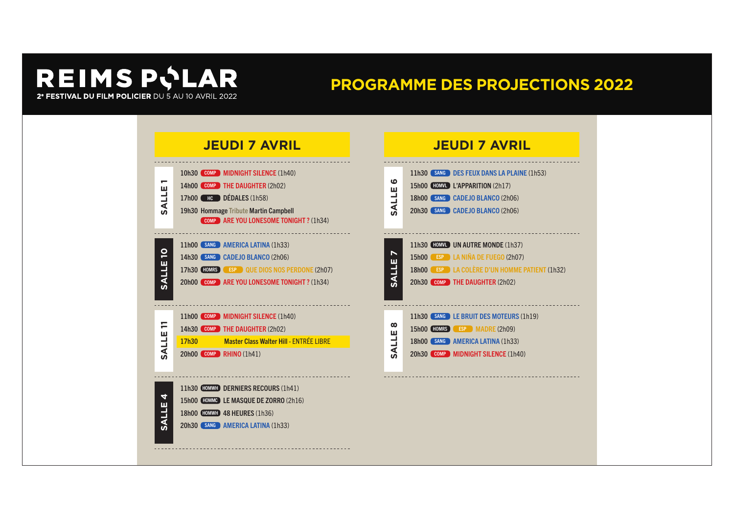### **PROGRAMME DES PROJECTIONS 2022**

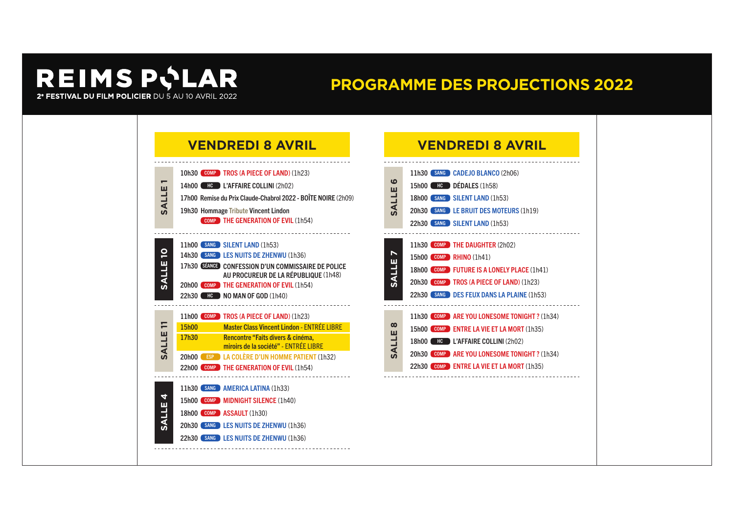### **PROGRAMME DES PROJECTIONS 2022**